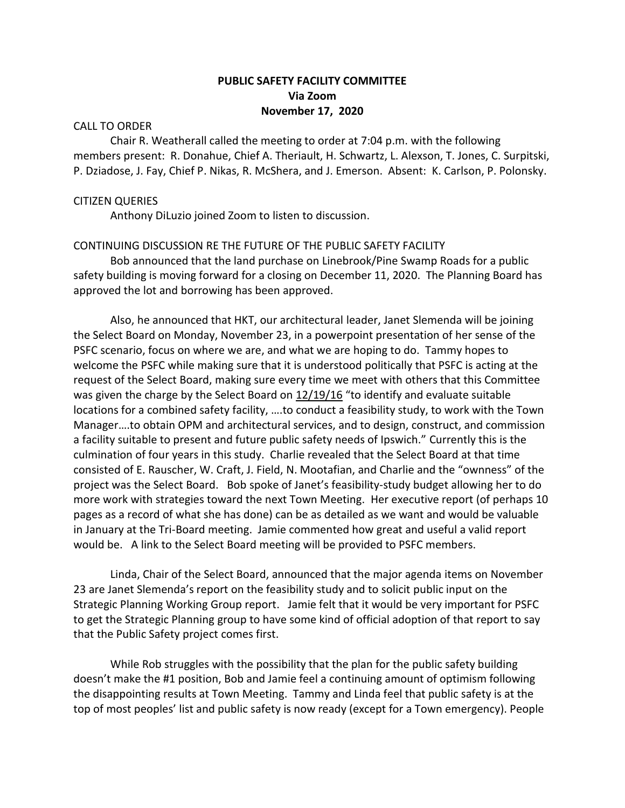# **PUBLIC SAFETY FACILITY COMMITTEE Via Zoom November 17, 2020**

# CALL TO ORDER

Chair R. Weatherall called the meeting to order at 7:04 p.m. with the following members present: R. Donahue, Chief A. Theriault, H. Schwartz, L. Alexson, T. Jones, C. Surpitski, P. Dziadose, J. Fay, Chief P. Nikas, R. McShera, and J. Emerson. Absent: K. Carlson, P. Polonsky.

# CITIZEN QUERIES

Anthony DiLuzio joined Zoom to listen to discussion.

## CONTINUING DISCUSSION RE THE FUTURE OF THE PUBLIC SAFETY FACILITY

Bob announced that the land purchase on Linebrook/Pine Swamp Roads for a public safety building is moving forward for a closing on December 11, 2020. The Planning Board has approved the lot and borrowing has been approved.

Also, he announced that HKT, our architectural leader, Janet Slemenda will be joining the Select Board on Monday, November 23, in a powerpoint presentation of her sense of the PSFC scenario, focus on where we are, and what we are hoping to do. Tammy hopes to welcome the PSFC while making sure that it is understood politically that PSFC is acting at the request of the Select Board, making sure every time we meet with others that this Committee was given the charge by the Select Board on 12/19/16 "to identify and evaluate suitable locations for a combined safety facility, ….to conduct a feasibility study, to work with the Town Manager….to obtain OPM and architectural services, and to design, construct, and commission a facility suitable to present and future public safety needs of Ipswich." Currently this is the culmination of four years in this study. Charlie revealed that the Select Board at that time consisted of E. Rauscher, W. Craft, J. Field, N. Mootafian, and Charlie and the "ownness" of the project was the Select Board. Bob spoke of Janet's feasibility-study budget allowing her to do more work with strategies toward the next Town Meeting. Her executive report (of perhaps 10 pages as a record of what she has done) can be as detailed as we want and would be valuable in January at the Tri-Board meeting. Jamie commented how great and useful a valid report would be. A link to the Select Board meeting will be provided to PSFC members.

Linda, Chair of the Select Board, announced that the major agenda items on November 23 are Janet Slemenda's report on the feasibility study and to solicit public input on the Strategic Planning Working Group report. Jamie felt that it would be very important for PSFC to get the Strategic Planning group to have some kind of official adoption of that report to say that the Public Safety project comes first.

While Rob struggles with the possibility that the plan for the public safety building doesn't make the #1 position, Bob and Jamie feel a continuing amount of optimism following the disappointing results at Town Meeting. Tammy and Linda feel that public safety is at the top of most peoples' list and public safety is now ready (except for a Town emergency). People